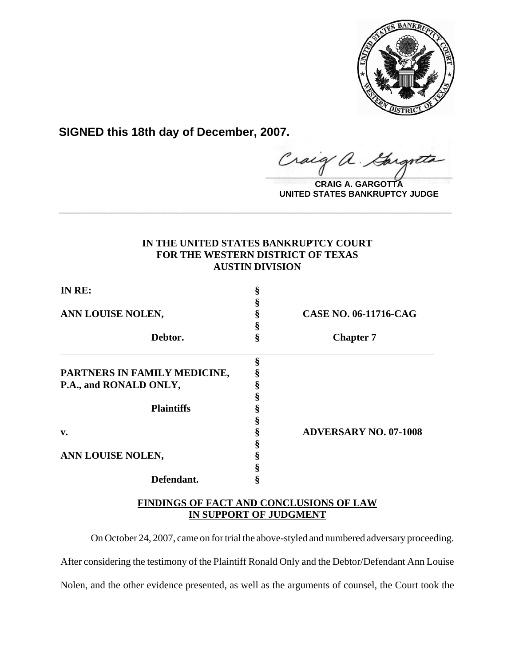

**SIGNED this 18th day of December, 2007.**

**\_\_\_\_\_\_\_\_\_\_\_\_\_\_\_\_\_\_\_\_\_\_\_\_\_\_\_\_\_\_\_\_\_\_\_\_\_\_\_\_** Gargott

**CRAIG A. GARGOTTA UNITED STATES BANKRUPTCY JUDGE**

## **IN THE UNITED STATES BANKRUPTCY COURT FOR THE WESTERN DISTRICT OF TEXAS AUSTIN DIVISION**

**\_\_\_\_\_\_\_\_\_\_\_\_\_\_\_\_\_\_\_\_\_\_\_\_\_\_\_\_\_\_\_\_\_\_\_\_\_\_\_\_\_\_\_\_\_\_\_\_\_\_\_\_\_\_\_\_\_\_\_\_**

| IN RE:<br>ANN LOUISE NOLEN,  | § |                              |
|------------------------------|---|------------------------------|
|                              | § |                              |
|                              | § | <b>CASE NO. 06-11716-CAG</b> |
|                              | § |                              |
| Debtor.                      | ş | <b>Chapter 7</b>             |
|                              | ş |                              |
| PARTNERS IN FAMILY MEDICINE, | § |                              |
| P.A., and RONALD ONLY,       | § |                              |
|                              |   |                              |
| <b>Plaintiffs</b>            |   |                              |
|                              |   |                              |
| v.                           |   | <b>ADVERSARY NO. 07-1008</b> |
|                              |   |                              |
| ANN LOUISE NOLEN,            |   |                              |
|                              |   |                              |
| Defendant.                   | § |                              |

**FINDINGS OF FACT AND CONCLUSIONS OF LAW IN SUPPORT OF JUDGMENT**

On October 24, 2007, came on for trial the above-styled and numbered adversary proceeding. After considering the testimony of the Plaintiff Ronald Only and the Debtor/Defendant Ann Louise Nolen, and the other evidence presented, as well as the arguments of counsel, the Court took the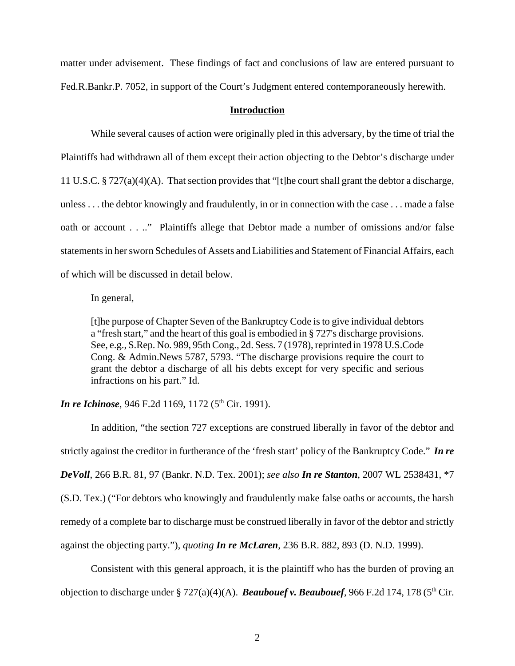matter under advisement. These findings of fact and conclusions of law are entered pursuant to Fed.R.Bankr.P. 7052, in support of the Court's Judgment entered contemporaneously herewith.

## **Introduction**

While several causes of action were originally pled in this adversary, by the time of trial the Plaintiffs had withdrawn all of them except their action objecting to the Debtor's discharge under 11 U.S.C. § 727(a)(4)(A). That section provides that "[t]he court shall grant the debtor a discharge, unless . . . the debtor knowingly and fraudulently, in or in connection with the case . . . made a false oath or account . . .." Plaintiffs allege that Debtor made a number of omissions and/or false statements in her sworn Schedules of Assets and Liabilities and Statement of Financial Affairs, each of which will be discussed in detail below.

In general,

[t]he purpose of Chapter Seven of the Bankruptcy Code is to give individual debtors a "fresh start," and the heart of this goal is embodied in § 727's discharge provisions. See, e.g., S.Rep. No. 989, 95th Cong., 2d. Sess. 7 (1978), reprinted in 1978 U.S.Code Cong. & Admin.News 5787, 5793. "The discharge provisions require the court to grant the debtor a discharge of all his debts except for very specific and serious infractions on his part." Id.

*In re Ichinose*, 946 F.2d 1169, 1172 (5<sup>th</sup> Cir. 1991).

In addition, "the section 727 exceptions are construed liberally in favor of the debtor and strictly against the creditor in furtherance of the 'fresh start' policy of the Bankruptcy Code." *In re DeVoll*, 266 B.R. 81, 97 (Bankr. N.D. Tex. 2001); *see also In re Stanton*, 2007 WL 2538431, \*7 (S.D. Tex.) ("For debtors who knowingly and fraudulently make false oaths or accounts, the harsh remedy of a complete bar to discharge must be construed liberally in favor of the debtor and strictly against the objecting party."), *quoting In re McLaren*, 236 B.R. 882, 893 (D. N.D. 1999).

Consistent with this general approach, it is the plaintiff who has the burden of proving an objection to discharge under  $\S 727(a)(4)(A)$ . **Beaubouef v. Beaubouef**, 966 F.2d 174, 178 (5<sup>th</sup> Cir.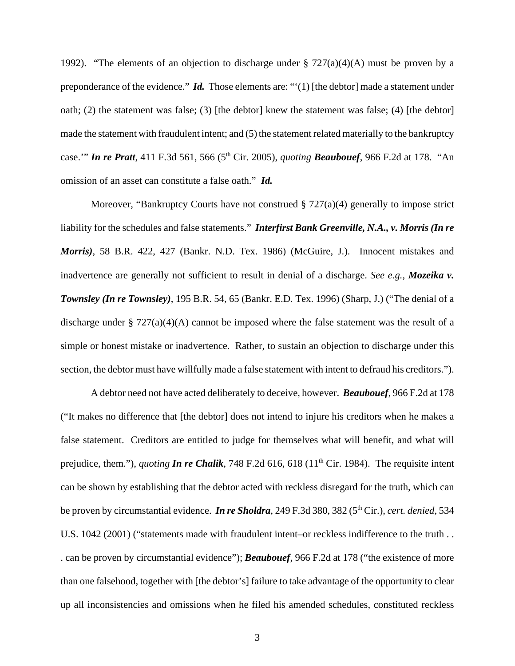1992). "The elements of an objection to discharge under  $\S 727(a)(4)(A)$  must be proven by a preponderance of the evidence." *Id.* Those elements are: "'(1) [the debtor] made a statement under oath; (2) the statement was false; (3) [the debtor] knew the statement was false; (4) [the debtor] made the statement with fraudulent intent; and (5) the statement related materially to the bankruptcy case." **In re Pratt**, 411 F.3d 561, 566 (5<sup>th</sup> Cir. 2005), *quoting* **Beaubouef**, 966 F.2d at 178. "An omission of an asset can constitute a false oath." *Id.*

Moreover, "Bankruptcy Courts have not construed  $\S 727(a)(4)$  generally to impose strict liability for the schedules and false statements." *Interfirst Bank Greenville, N.A., v. Morris (In re Morris)*, 58 B.R. 422, 427 (Bankr. N.D. Tex. 1986) (McGuire, J.). Innocent mistakes and inadvertence are generally not sufficient to result in denial of a discharge. *See e.g., Mozeika v. Townsley (In re Townsley)*, 195 B.R. 54, 65 (Bankr. E.D. Tex. 1996) (Sharp, J.) ("The denial of a discharge under  $\S 727(a)(4)(A)$  cannot be imposed where the false statement was the result of a simple or honest mistake or inadvertence. Rather, to sustain an objection to discharge under this section, the debtor must have willfully made a false statement with intent to defraud his creditors.").

A debtor need not have acted deliberately to deceive, however. *Beaubouef*, 966 F.2d at 178 ("It makes no difference that [the debtor] does not intend to injure his creditors when he makes a false statement. Creditors are entitled to judge for themselves what will benefit, and what will prejudice, them."), *quoting In re Chalik*, 748 F.2d 616, 618 (11<sup>th</sup> Cir. 1984). The requisite intent can be shown by establishing that the debtor acted with reckless disregard for the truth, which can be proven by circumstantial evidence. *In re Sholdra*, 249 F.3d 380, 382 (5th Cir.), *cert. denied,* 534 U.S. 1042 (2001) ("statements made with fraudulent intent–or reckless indifference to the truth . . . can be proven by circumstantial evidence"); *Beaubouef*, 966 F.2d at 178 ("the existence of more than one falsehood, together with [the debtor's] failure to take advantage of the opportunity to clear up all inconsistencies and omissions when he filed his amended schedules, constituted reckless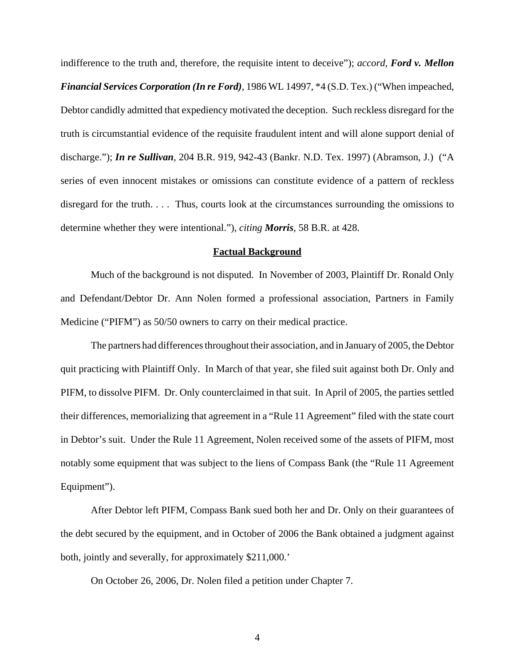indifference to the truth and, therefore, the requisite intent to deceive"); *accord, Ford v. Mellon Financial Services Corporation (In re Ford)*, 1986 WL 14997, \*4 (S.D. Tex.) ("When impeached, Debtor candidly admitted that expediency motivated the deception. Such reckless disregard for the truth is circumstantial evidence of the requisite fraudulent intent and will alone support denial of discharge."); *In re Sullivan*, 204 B.R. 919, 942-43 (Bankr. N.D. Tex. 1997) (Abramson, J.) ("A series of even innocent mistakes or omissions can constitute evidence of a pattern of reckless disregard for the truth. . . . Thus, courts look at the circumstances surrounding the omissions to determine whether they were intentional."), *citing Morris*, 58 B.R. at 428.

## **Factual Background**

Much of the background is not disputed. In November of 2003, Plaintiff Dr. Ronald Only and Defendant/Debtor Dr. Ann Nolen formed a professional association, Partners in Family Medicine ("PIFM") as 50/50 owners to carry on their medical practice.

The partners had differences throughout their association, and in January of 2005, the Debtor quit practicing with Plaintiff Only. In March of that year, she filed suit against both Dr. Only and PIFM, to dissolve PIFM. Dr. Only counterclaimed in that suit. In April of 2005, the parties settled their differences, memorializing that agreement in a "Rule 11 Agreement" filed with the state court in Debtor's suit. Under the Rule 11 Agreement, Nolen received some of the assets of PIFM, most notably some equipment that was subject to the liens of Compass Bank (the "Rule 11 Agreement Equipment").

After Debtor left PIFM, Compass Bank sued both her and Dr. Only on their guarantees of the debt secured by the equipment, and in October of 2006 the Bank obtained a judgment against both, jointly and severally, for approximately \$211,000.'

On October 26, 2006, Dr. Nolen filed a petition under Chapter 7.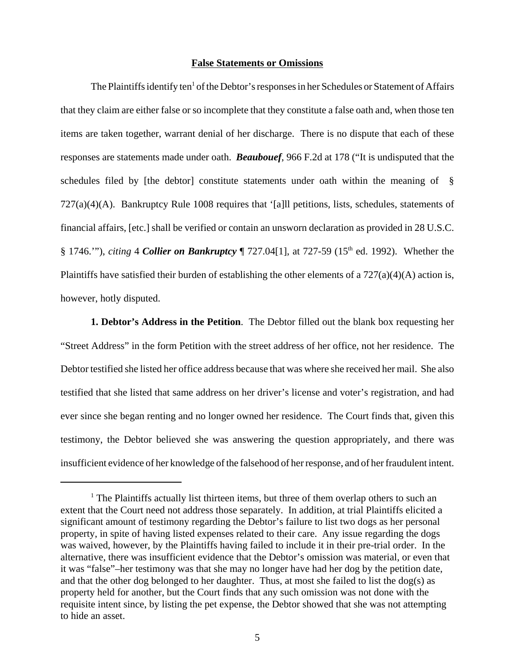## **False Statements or Omissions**

The Plaintiffs identify ten<sup>1</sup> of the Debtor's responses in her Schedules or Statement of Affairs that they claim are either false or so incomplete that they constitute a false oath and, when those ten items are taken together, warrant denial of her discharge. There is no dispute that each of these responses are statements made under oath. *Beaubouef*, 966 F.2d at 178 ("It is undisputed that the schedules filed by [the debtor] constitute statements under oath within the meaning of § 727(a)(4)(A). Bankruptcy Rule 1008 requires that '[a]ll petitions, lists, schedules, statements of financial affairs, [etc.] shall be verified or contain an unsworn declaration as provided in 28 U.S.C. § 1746.'"), *citing* 4 *Collier on Bankruptcy* ¶ 727.04[1], at 727-59 (15th ed. 1992). Whether the Plaintiffs have satisfied their burden of establishing the other elements of a  $727(a)(4)(A)$  action is, however, hotly disputed.

**1. Debtor's Address in the Petition**. The Debtor filled out the blank box requesting her "Street Address" in the form Petition with the street address of her office, not her residence. The Debtor testified she listed her office address because that was where she received her mail. She also testified that she listed that same address on her driver's license and voter's registration, and had ever since she began renting and no longer owned her residence. The Court finds that, given this testimony, the Debtor believed she was answering the question appropriately, and there was insufficient evidence of her knowledge of the falsehood of her response, and of her fraudulent intent.

<sup>&</sup>lt;sup>1</sup> The Plaintiffs actually list thirteen items, but three of them overlap others to such an extent that the Court need not address those separately. In addition, at trial Plaintiffs elicited a significant amount of testimony regarding the Debtor's failure to list two dogs as her personal property, in spite of having listed expenses related to their care. Any issue regarding the dogs was waived, however, by the Plaintiffs having failed to include it in their pre-trial order. In the alternative, there was insufficient evidence that the Debtor's omission was material, or even that it was "false"–her testimony was that she may no longer have had her dog by the petition date, and that the other dog belonged to her daughter. Thus, at most she failed to list the dog(s) as property held for another, but the Court finds that any such omission was not done with the requisite intent since, by listing the pet expense, the Debtor showed that she was not attempting to hide an asset.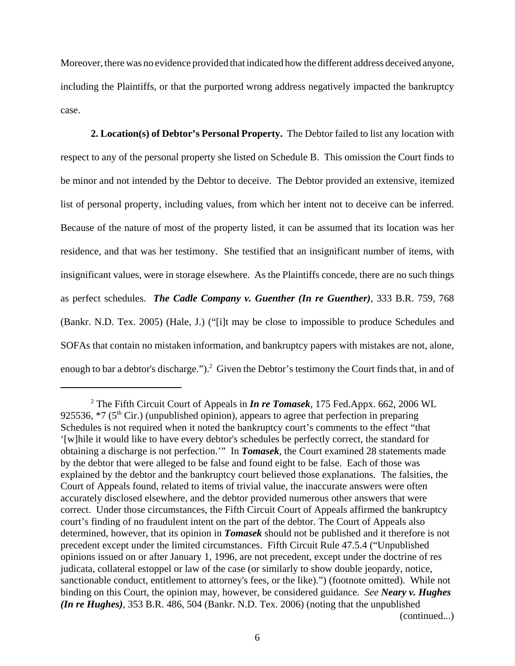Moreover, there was no evidence provided that indicated how the different address deceived anyone, including the Plaintiffs, or that the purported wrong address negatively impacted the bankruptcy case.

**2. Location(s) of Debtor's Personal Property.** The Debtor failed to list any location with respect to any of the personal property she listed on Schedule B. This omission the Court finds to be minor and not intended by the Debtor to deceive. The Debtor provided an extensive, itemized list of personal property, including values, from which her intent not to deceive can be inferred. Because of the nature of most of the property listed, it can be assumed that its location was her residence, and that was her testimony. She testified that an insignificant number of items, with insignificant values, were in storage elsewhere. As the Plaintiffs concede, there are no such things as perfect schedules. *The Cadle Company v. Guenther (In re Guenther)*, 333 B.R. 759, 768 (Bankr. N.D. Tex. 2005) (Hale, J.) ("[i]t may be close to impossible to produce Schedules and SOFAs that contain no mistaken information, and bankruptcy papers with mistakes are not, alone, enough to bar a debtor's discharge.").<sup>2</sup> Given the Debtor's testimony the Court finds that, in and of

<sup>2</sup> The Fifth Circuit Court of Appeals in *In re Tomasek*, 175 Fed.Appx. 662, 2006 WL 925536,  $*7$  (5<sup>th</sup> Cir.) (unpublished opinion), appears to agree that perfection in preparing Schedules is not required when it noted the bankruptcy court's comments to the effect "that '[w]hile it would like to have every debtor's schedules be perfectly correct, the standard for obtaining a discharge is not perfection.'" In *Tomasek*, the Court examined 28 statements made by the debtor that were alleged to be false and found eight to be false. Each of those was explained by the debtor and the bankruptcy court believed those explanations. The falsities, the Court of Appeals found, related to items of trivial value, the inaccurate answers were often accurately disclosed elsewhere, and the debtor provided numerous other answers that were correct. Under those circumstances, the Fifth Circuit Court of Appeals affirmed the bankruptcy court's finding of no fraudulent intent on the part of the debtor. The Court of Appeals also determined, however, that its opinion in *Tomasek* should not be published and it therefore is not precedent except under the limited circumstances. Fifth Circuit Rule 47.5.4 ("Unpublished opinions issued on or after January 1, 1996, are not precedent, except under the doctrine of res judicata, collateral estoppel or law of the case (or similarly to show double jeopardy, notice, sanctionable conduct, entitlement to attorney's fees, or the like).") (footnote omitted). While not binding on this Court, the opinion may, however, be considered guidance. *See Neary v. Hughes (In re Hughes)*, 353 B.R. 486, 504 (Bankr. N.D. Tex. 2006) (noting that the unpublished (continued...)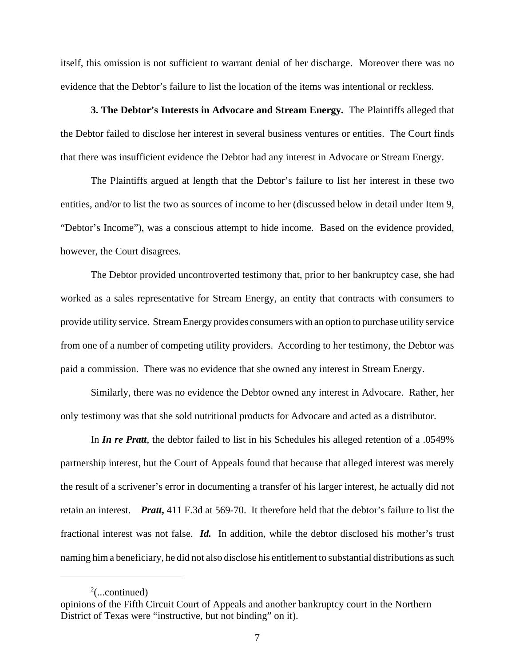itself, this omission is not sufficient to warrant denial of her discharge. Moreover there was no evidence that the Debtor's failure to list the location of the items was intentional or reckless.

**3. The Debtor's Interests in Advocare and Stream Energy.** The Plaintiffs alleged that the Debtor failed to disclose her interest in several business ventures or entities. The Court finds that there was insufficient evidence the Debtor had any interest in Advocare or Stream Energy.

The Plaintiffs argued at length that the Debtor's failure to list her interest in these two entities, and/or to list the two as sources of income to her (discussed below in detail under Item 9, "Debtor's Income"), was a conscious attempt to hide income. Based on the evidence provided, however, the Court disagrees.

The Debtor provided uncontroverted testimony that, prior to her bankruptcy case, she had worked as a sales representative for Stream Energy, an entity that contracts with consumers to provide utility service. Stream Energy provides consumers with an option to purchase utility service from one of a number of competing utility providers. According to her testimony, the Debtor was paid a commission. There was no evidence that she owned any interest in Stream Energy.

Similarly, there was no evidence the Debtor owned any interest in Advocare. Rather, her only testimony was that she sold nutritional products for Advocare and acted as a distributor.

In *In re Pratt*, the debtor failed to list in his Schedules his alleged retention of a .0549% partnership interest, but the Court of Appeals found that because that alleged interest was merely the result of a scrivener's error in documenting a transfer of his larger interest, he actually did not retain an interest. *Pratt***,** 411 F.3d at 569-70. It therefore held that the debtor's failure to list the fractional interest was not false. *Id.* In addition, while the debtor disclosed his mother's trust naming him a beneficiary, he did not also disclose his entitlement to substantial distributions as such

 $2$ (...continued)

opinions of the Fifth Circuit Court of Appeals and another bankruptcy court in the Northern District of Texas were "instructive, but not binding" on it).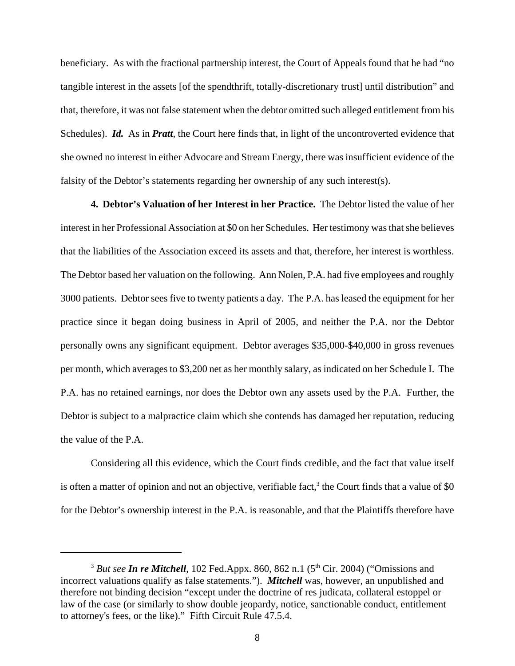beneficiary. As with the fractional partnership interest, the Court of Appeals found that he had "no tangible interest in the assets [of the spendthrift, totally-discretionary trust] until distribution" and that, therefore, it was not false statement when the debtor omitted such alleged entitlement from his Schedules). *Id.* As in *Pratt*, the Court here finds that, in light of the uncontroverted evidence that she owned no interest in either Advocare and Stream Energy, there was insufficient evidence of the falsity of the Debtor's statements regarding her ownership of any such interest(s).

**4. Debtor's Valuation of her Interest in her Practice.** The Debtor listed the value of her interest in her Professional Association at \$0 on her Schedules. Her testimony was that she believes that the liabilities of the Association exceed its assets and that, therefore, her interest is worthless. The Debtor based her valuation on the following. Ann Nolen, P.A. had five employees and roughly 3000 patients. Debtor sees five to twenty patients a day. The P.A. has leased the equipment for her practice since it began doing business in April of 2005, and neither the P.A. nor the Debtor personally owns any significant equipment. Debtor averages \$35,000-\$40,000 in gross revenues per month, which averages to \$3,200 net as her monthly salary, as indicated on her Schedule I. The P.A. has no retained earnings, nor does the Debtor own any assets used by the P.A. Further, the Debtor is subject to a malpractice claim which she contends has damaged her reputation, reducing the value of the P.A.

Considering all this evidence, which the Court finds credible, and the fact that value itself is often a matter of opinion and not an objective, verifiable fact,<sup>3</sup> the Court finds that a value of \$0 for the Debtor's ownership interest in the P.A. is reasonable, and that the Plaintiffs therefore have

 $3$  *But see In re Mitchell*, 102 Fed.Appx. 860, 862 n.1 ( $5<sup>th</sup>$  Cir. 2004) ("Omissions and incorrect valuations qualify as false statements."). *Mitchell* was, however, an unpublished and therefore not binding decision "except under the doctrine of res judicata, collateral estoppel or law of the case (or similarly to show double jeopardy, notice, sanctionable conduct, entitlement to attorney's fees, or the like)." Fifth Circuit Rule 47.5.4.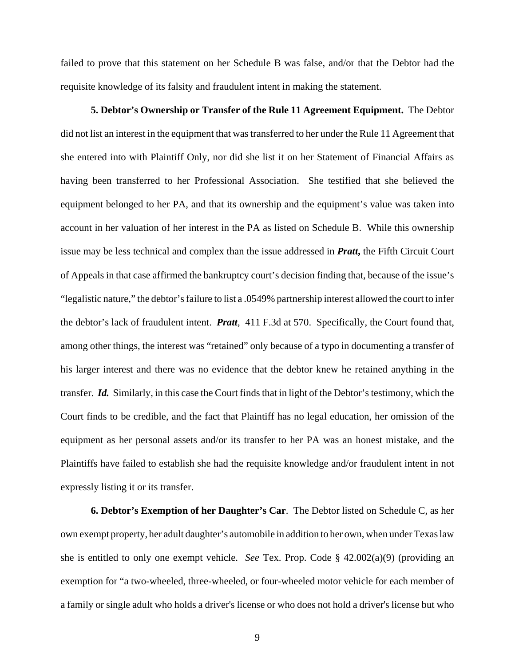failed to prove that this statement on her Schedule B was false, and/or that the Debtor had the requisite knowledge of its falsity and fraudulent intent in making the statement.

**5. Debtor's Ownership or Transfer of the Rule 11 Agreement Equipment.** The Debtor did not list an interest in the equipment that was transferred to her under the Rule 11 Agreement that she entered into with Plaintiff Only, nor did she list it on her Statement of Financial Affairs as having been transferred to her Professional Association. She testified that she believed the equipment belonged to her PA, and that its ownership and the equipment's value was taken into account in her valuation of her interest in the PA as listed on Schedule B. While this ownership issue may be less technical and complex than the issue addressed in *Pratt***,** the Fifth Circuit Court of Appeals in that case affirmed the bankruptcy court's decision finding that, because of the issue's "legalistic nature," the debtor's failure to list a .0549% partnership interest allowed the court to infer the debtor's lack of fraudulent intent. *Pratt,* 411 F.3d at 570. Specifically, the Court found that, among other things, the interest was "retained" only because of a typo in documenting a transfer of his larger interest and there was no evidence that the debtor knew he retained anything in the transfer. *Id.* Similarly, in this case the Court finds that in light of the Debtor's testimony, which the Court finds to be credible, and the fact that Plaintiff has no legal education, her omission of the equipment as her personal assets and/or its transfer to her PA was an honest mistake, and the Plaintiffs have failed to establish she had the requisite knowledge and/or fraudulent intent in not expressly listing it or its transfer.

**6. Debtor's Exemption of her Daughter's Car**. The Debtor listed on Schedule C, as her own exempt property, her adult daughter's automobile in addition to her own, when under Texas law she is entitled to only one exempt vehicle. *See* Tex. Prop. Code § 42.002(a)(9) (providing an exemption for "a two-wheeled, three-wheeled, or four-wheeled motor vehicle for each member of a family or single adult who holds a driver's license or who does not hold a driver's license but who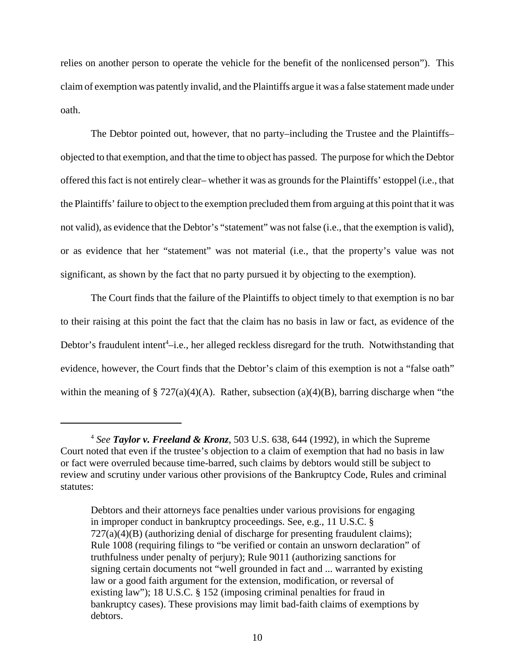relies on another person to operate the vehicle for the benefit of the nonlicensed person"). This claim of exemption was patently invalid, and the Plaintiffs argue it was a false statement made under oath.

The Debtor pointed out, however, that no party–including the Trustee and the Plaintiffs– objected to that exemption, and that the time to object has passed. The purpose for which the Debtor offered this fact is not entirely clear– whether it was as grounds for the Plaintiffs' estoppel (i.e., that the Plaintiffs' failure to object to the exemption precluded them from arguing at this point that it was not valid), as evidence that the Debtor's "statement" was not false (i.e., that the exemption is valid), or as evidence that her "statement" was not material (i.e., that the property's value was not significant, as shown by the fact that no party pursued it by objecting to the exemption).

The Court finds that the failure of the Plaintiffs to object timely to that exemption is no bar to their raising at this point the fact that the claim has no basis in law or fact, as evidence of the Debtor's fraudulent intent<sup>4</sup>-i.e., her alleged reckless disregard for the truth. Notwithstanding that evidence, however, the Court finds that the Debtor's claim of this exemption is not a "false oath" within the meaning of  $\S 727(a)(4)(A)$ . Rather, subsection (a)(4)(B), barring discharge when "the

<sup>4</sup> *See Taylor v. Freeland & Kronz*, 503 U.S. 638, 644 (1992), in which the Supreme Court noted that even if the trustee's objection to a claim of exemption that had no basis in law or fact were overruled because time-barred, such claims by debtors would still be subject to review and scrutiny under various other provisions of the Bankruptcy Code, Rules and criminal statutes:

Debtors and their attorneys face penalties under various provisions for engaging in improper conduct in bankruptcy proceedings. See, e.g., 11 U.S.C. §  $727(a)(4)(B)$  (authorizing denial of discharge for presenting fraudulent claims); Rule 1008 (requiring filings to "be verified or contain an unsworn declaration" of truthfulness under penalty of perjury); Rule 9011 (authorizing sanctions for signing certain documents not "well grounded in fact and ... warranted by existing law or a good faith argument for the extension, modification, or reversal of existing law"); 18 U.S.C. § 152 (imposing criminal penalties for fraud in bankruptcy cases). These provisions may limit bad-faith claims of exemptions by debtors.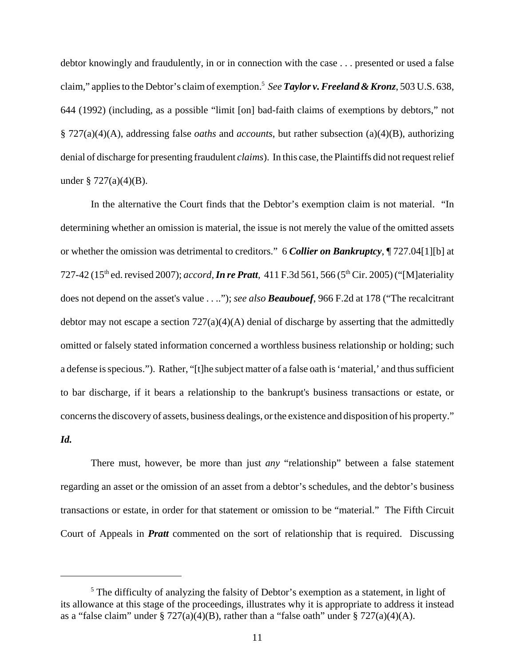debtor knowingly and fraudulently, in or in connection with the case . . . presented or used a false claim," applies to the Debtor's claim of exemption.5 *See Taylor v. Freeland & Kronz*, 503 U.S. 638, 644 (1992) (including, as a possible "limit [on] bad-faith claims of exemptions by debtors," not § 727(a)(4)(A), addressing false *oaths* and *accounts*, but rather subsection (a)(4)(B), authorizing denial of discharge for presenting fraudulent *claims*). In this case, the Plaintiffs did not request relief under  $\S 727(a)(4)(B)$ .

In the alternative the Court finds that the Debtor's exemption claim is not material. "In determining whether an omission is material, the issue is not merely the value of the omitted assets or whether the omission was detrimental to creditors." 6 *Collier on Bankruptcy*, ¶ 727.04[1][b] at 727-42 (15th ed. revised 2007); *accord,In re Pratt,* 411 F.3d 561, 566 (5th Cir. 2005) ("[M]ateriality does not depend on the asset's value . . .."); *see also Beaubouef*, 966 F.2d at 178 ("The recalcitrant debtor may not escape a section  $727(a)(4)(A)$  denial of discharge by asserting that the admittedly omitted or falsely stated information concerned a worthless business relationship or holding; such a defense is specious."). Rather, "[t]he subject matter of a false oath is 'material,' and thus sufficient to bar discharge, if it bears a relationship to the bankrupt's business transactions or estate, or concerns the discovery of assets, business dealings, or the existence and disposition of his property."

## *Id.*

There must, however, be more than just *any* "relationship" between a false statement regarding an asset or the omission of an asset from a debtor's schedules, and the debtor's business transactions or estate, in order for that statement or omission to be "material." The Fifth Circuit Court of Appeals in *Pratt* commented on the sort of relationship that is required. Discussing

<sup>&</sup>lt;sup>5</sup> The difficulty of analyzing the falsity of Debtor's exemption as a statement, in light of its allowance at this stage of the proceedings, illustrates why it is appropriate to address it instead as a "false claim" under § 727(a)(4)(B), rather than a "false oath" under § 727(a)(4)(A).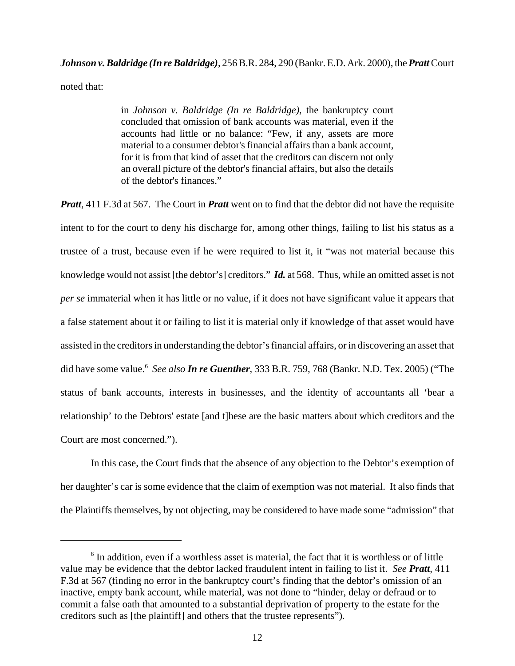# *Johnson v. Baldridge (In re Baldridge)*, 256 B.R. 284, 290 (Bankr. E.D. Ark. 2000), the *Pratt* Court noted that:

in *Johnson v. Baldridge (In re Baldridge)*, the bankruptcy court concluded that omission of bank accounts was material, even if the accounts had little or no balance: "Few, if any, assets are more material to a consumer debtor's financial affairs than a bank account, for it is from that kind of asset that the creditors can discern not only an overall picture of the debtor's financial affairs, but also the details of the debtor's finances."

*Pratt*, 411 F.3d at 567. The Court in *Pratt* went on to find that the debtor did not have the requisite intent to for the court to deny his discharge for, among other things, failing to list his status as a trustee of a trust, because even if he were required to list it, it "was not material because this knowledge would not assist [the debtor's] creditors." *Id.* at 568. Thus, while an omitted asset is not *per se* immaterial when it has little or no value, if it does not have significant value it appears that a false statement about it or failing to list it is material only if knowledge of that asset would have assisted in the creditors in understanding the debtor's financial affairs, or in discovering an asset that did have some value.6 *See also In re Guenther*, 333 B.R. 759, 768 (Bankr. N.D. Tex. 2005) ("The status of bank accounts, interests in businesses, and the identity of accountants all 'bear a relationship' to the Debtors' estate [and t]hese are the basic matters about which creditors and the Court are most concerned.").

In this case, the Court finds that the absence of any objection to the Debtor's exemption of her daughter's car is some evidence that the claim of exemption was not material. It also finds that the Plaintiffs themselves, by not objecting, may be considered to have made some "admission" that

<sup>&</sup>lt;sup>6</sup> In addition, even if a worthless asset is material, the fact that it is worthless or of little value may be evidence that the debtor lacked fraudulent intent in failing to list it. *See Pratt*, 411 F.3d at 567 (finding no error in the bankruptcy court's finding that the debtor's omission of an inactive, empty bank account, while material, was not done to "hinder, delay or defraud or to commit a false oath that amounted to a substantial deprivation of property to the estate for the creditors such as [the plaintiff] and others that the trustee represents").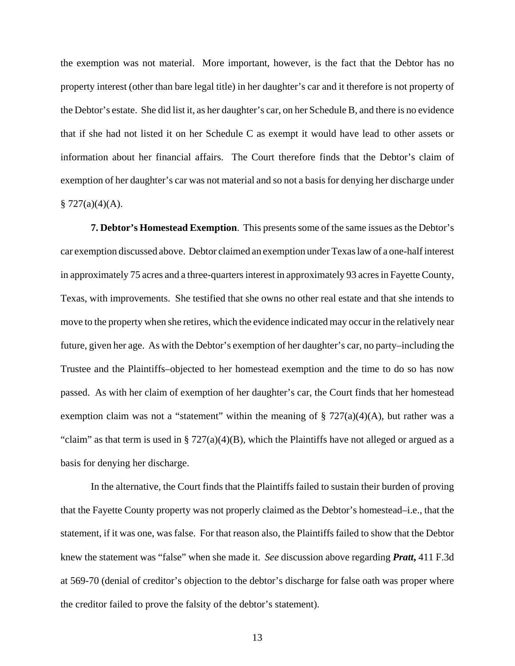the exemption was not material. More important, however, is the fact that the Debtor has no property interest (other than bare legal title) in her daughter's car and it therefore is not property of the Debtor's estate. She did list it, as her daughter's car, on her Schedule B, and there is no evidence that if she had not listed it on her Schedule C as exempt it would have lead to other assets or information about her financial affairs. The Court therefore finds that the Debtor's claim of exemption of her daughter's car was not material and so not a basis for denying her discharge under  $$727(a)(4)(A).$ 

**7. Debtor's Homestead Exemption**. This presents some of the same issues as the Debtor's car exemption discussed above. Debtor claimed an exemption under Texas law of a one-half interest in approximately 75 acres and a three-quarters interest in approximately 93 acres in Fayette County, Texas, with improvements. She testified that she owns no other real estate and that she intends to move to the property when she retires, which the evidence indicated may occur in the relatively near future, given her age. As with the Debtor's exemption of her daughter's car, no party–including the Trustee and the Plaintiffs–objected to her homestead exemption and the time to do so has now passed. As with her claim of exemption of her daughter's car, the Court finds that her homestead exemption claim was not a "statement" within the meaning of  $\S 727(a)(4)(A)$ , but rather was a "claim" as that term is used in §  $727(a)(4)(B)$ , which the Plaintiffs have not alleged or argued as a basis for denying her discharge.

In the alternative, the Court finds that the Plaintiffs failed to sustain their burden of proving that the Fayette County property was not properly claimed as the Debtor's homestead–i.e., that the statement, if it was one, was false. For that reason also, the Plaintiffs failed to show that the Debtor knew the statement was "false" when she made it. *See* discussion above regarding *Pratt***,** 411 F.3d at 569-70 (denial of creditor's objection to the debtor's discharge for false oath was proper where the creditor failed to prove the falsity of the debtor's statement).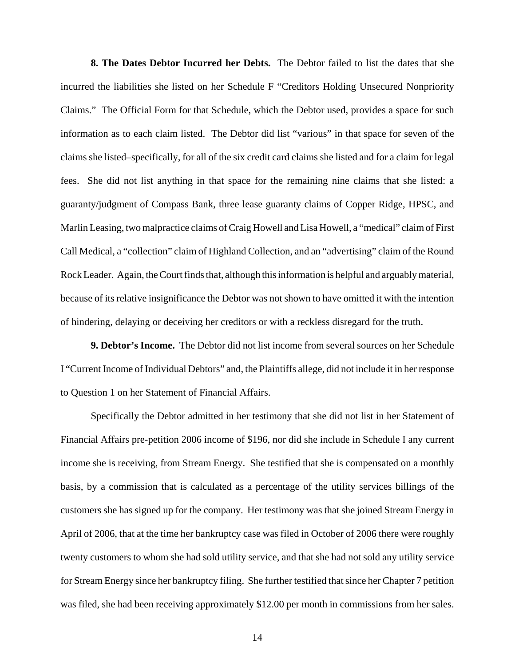**8. The Dates Debtor Incurred her Debts.** The Debtor failed to list the dates that she incurred the liabilities she listed on her Schedule F "Creditors Holding Unsecured Nonpriority Claims." The Official Form for that Schedule, which the Debtor used, provides a space for such information as to each claim listed. The Debtor did list "various" in that space for seven of the claims she listed–specifically, for all of the six credit card claims she listed and for a claim for legal fees. She did not list anything in that space for the remaining nine claims that she listed: a guaranty/judgment of Compass Bank, three lease guaranty claims of Copper Ridge, HPSC, and Marlin Leasing, two malpractice claims of Craig Howell and Lisa Howell, a "medical" claim of First Call Medical, a "collection" claim of Highland Collection, and an "advertising" claim of the Round Rock Leader. Again, the Court finds that, although this information is helpful and arguably material, because of its relative insignificance the Debtor was not shown to have omitted it with the intention of hindering, delaying or deceiving her creditors or with a reckless disregard for the truth.

**9. Debtor's Income.** The Debtor did not list income from several sources on her Schedule I "Current Income of Individual Debtors" and, the Plaintiffs allege, did not include it in her response to Question 1 on her Statement of Financial Affairs.

Specifically the Debtor admitted in her testimony that she did not list in her Statement of Financial Affairs pre-petition 2006 income of \$196, nor did she include in Schedule I any current income she is receiving, from Stream Energy. She testified that she is compensated on a monthly basis, by a commission that is calculated as a percentage of the utility services billings of the customers she has signed up for the company. Her testimony was that she joined Stream Energy in April of 2006, that at the time her bankruptcy case was filed in October of 2006 there were roughly twenty customers to whom she had sold utility service, and that she had not sold any utility service for Stream Energy since her bankruptcy filing. She further testified that since her Chapter 7 petition was filed, she had been receiving approximately \$12.00 per month in commissions from her sales.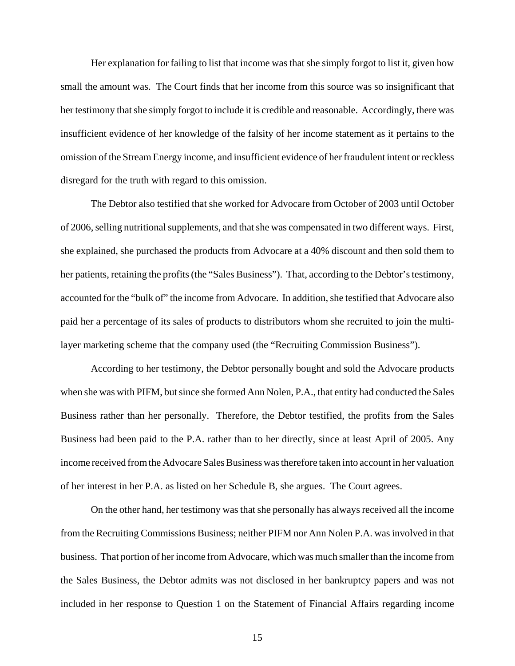Her explanation for failing to list that income was that she simply forgot to list it, given how small the amount was. The Court finds that her income from this source was so insignificant that her testimony that she simply forgot to include it is credible and reasonable. Accordingly, there was insufficient evidence of her knowledge of the falsity of her income statement as it pertains to the omission of the Stream Energy income, and insufficient evidence of her fraudulent intent or reckless disregard for the truth with regard to this omission.

The Debtor also testified that she worked for Advocare from October of 2003 until October of 2006, selling nutritional supplements, and that she was compensated in two different ways. First, she explained, she purchased the products from Advocare at a 40% discount and then sold them to her patients, retaining the profits (the "Sales Business"). That, according to the Debtor's testimony, accounted for the "bulk of" the income from Advocare. In addition, she testified that Advocare also paid her a percentage of its sales of products to distributors whom she recruited to join the multilayer marketing scheme that the company used (the "Recruiting Commission Business").

According to her testimony, the Debtor personally bought and sold the Advocare products when she was with PIFM, but since she formed Ann Nolen, P.A., that entity had conducted the Sales Business rather than her personally. Therefore, the Debtor testified, the profits from the Sales Business had been paid to the P.A. rather than to her directly, since at least April of 2005. Any income received from the Advocare Sales Business was therefore taken into account in her valuation of her interest in her P.A. as listed on her Schedule B, she argues. The Court agrees.

On the other hand, her testimony was that she personally has always received all the income from the Recruiting Commissions Business; neither PIFM nor Ann Nolen P.A. was involved in that business. That portion of her income from Advocare, which was much smaller than the income from the Sales Business, the Debtor admits was not disclosed in her bankruptcy papers and was not included in her response to Question 1 on the Statement of Financial Affairs regarding income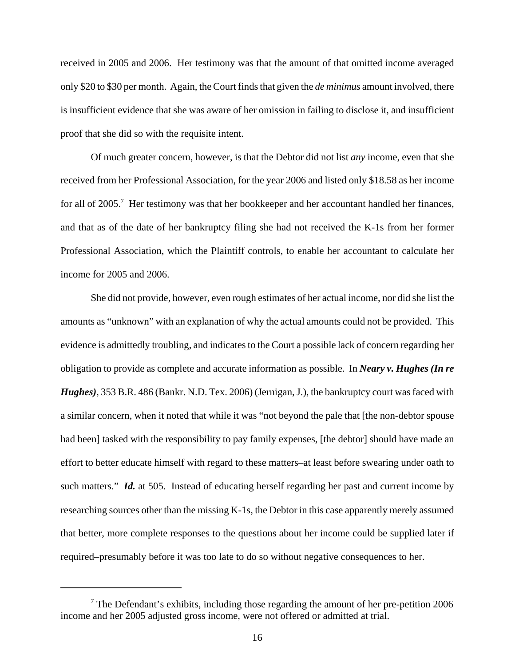received in 2005 and 2006. Her testimony was that the amount of that omitted income averaged only \$20 to \$30 per month. Again, the Court finds that given the *de minimus* amount involved, there is insufficient evidence that she was aware of her omission in failing to disclose it, and insufficient proof that she did so with the requisite intent.

Of much greater concern, however, is that the Debtor did not list *any* income, even that she received from her Professional Association, for the year 2006 and listed only \$18.58 as her income for all of 2005.<sup>7</sup> Her testimony was that her bookkeeper and her accountant handled her finances, and that as of the date of her bankruptcy filing she had not received the K-1s from her former Professional Association, which the Plaintiff controls, to enable her accountant to calculate her income for 2005 and 2006.

She did not provide, however, even rough estimates of her actual income, nor did she list the amounts as "unknown" with an explanation of why the actual amounts could not be provided. This evidence is admittedly troubling, and indicates to the Court a possible lack of concern regarding her obligation to provide as complete and accurate information as possible. In *Neary v. Hughes (In re Hughes)*, 353 B.R. 486 (Bankr. N.D. Tex. 2006) (Jernigan, J.), the bankruptcy court was faced with a similar concern, when it noted that while it was "not beyond the pale that [the non-debtor spouse had been] tasked with the responsibility to pay family expenses, [the debtor] should have made an effort to better educate himself with regard to these matters–at least before swearing under oath to such matters." *Id.* at 505. Instead of educating herself regarding her past and current income by researching sources other than the missing K-1s, the Debtor in this case apparently merely assumed that better, more complete responses to the questions about her income could be supplied later if required–presumably before it was too late to do so without negative consequences to her.

 $7$  The Defendant's exhibits, including those regarding the amount of her pre-petition 2006 income and her 2005 adjusted gross income, were not offered or admitted at trial.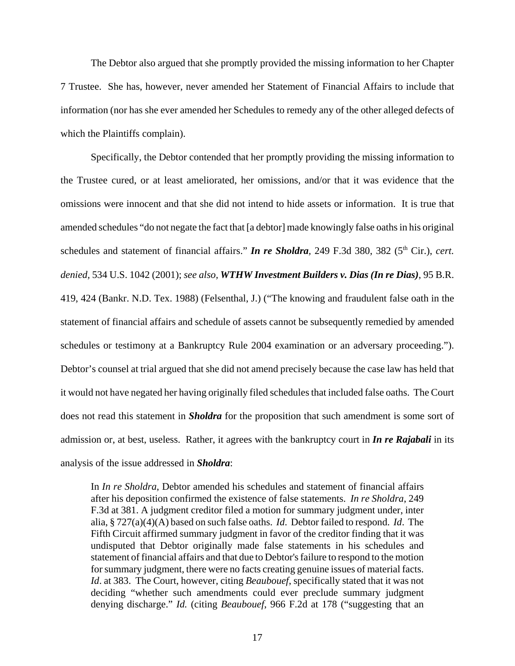The Debtor also argued that she promptly provided the missing information to her Chapter 7 Trustee. She has, however, never amended her Statement of Financial Affairs to include that information (nor has she ever amended her Schedules to remedy any of the other alleged defects of which the Plaintiffs complain).

Specifically, the Debtor contended that her promptly providing the missing information to the Trustee cured, or at least ameliorated, her omissions, and/or that it was evidence that the omissions were innocent and that she did not intend to hide assets or information. It is true that amended schedules "do not negate the fact that [a debtor] made knowingly false oaths in his original schedules and statement of financial affairs." *In re Sholdra*, 249 F.3d 380, 382 (5<sup>th</sup> Cir.), *cert. denied,* 534 U.S. 1042 (2001); *see also, WTHW Investment Builders v. Dias (In re Dias)*, 95 B.R. 419, 424 (Bankr. N.D. Tex. 1988) (Felsenthal, J.) ("The knowing and fraudulent false oath in the statement of financial affairs and schedule of assets cannot be subsequently remedied by amended schedules or testimony at a Bankruptcy Rule 2004 examination or an adversary proceeding."). Debtor's counsel at trial argued that she did not amend precisely because the case law has held that it would not have negated her having originally filed schedules that included false oaths. The Court does not read this statement in *Sholdra* for the proposition that such amendment is some sort of admission or, at best, useless. Rather, it agrees with the bankruptcy court in *In re Rajabali* in its analysis of the issue addressed in *Sholdra*:

In *In re Sholdra*, Debtor amended his schedules and statement of financial affairs after his deposition confirmed the existence of false statements. *In re Sholdra*, 249 F.3d at 381. A judgment creditor filed a motion for summary judgment under, inter alia, § 727(a)(4)(A) based on such false oaths. *Id*. Debtor failed to respond. *Id*. The Fifth Circuit affirmed summary judgment in favor of the creditor finding that it was undisputed that Debtor originally made false statements in his schedules and statement of financial affairs and that due to Debtor's failure to respond to the motion for summary judgment, there were no facts creating genuine issues of material facts. *Id*. at 383. The Court, however, citing *Beaubouef*, specifically stated that it was not deciding "whether such amendments could ever preclude summary judgment denying discharge." *Id.* (citing *Beaubouef*, 966 F.2d at 178 ("suggesting that an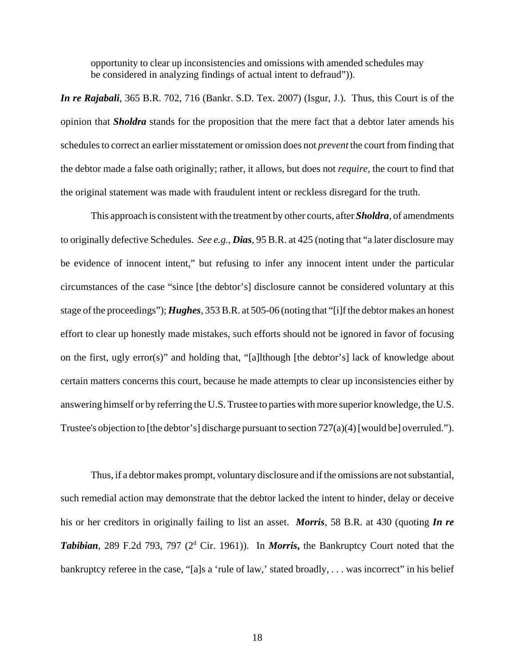opportunity to clear up inconsistencies and omissions with amended schedules may be considered in analyzing findings of actual intent to defraud")).

*In re Rajabali*, 365 B.R. 702, 716 (Bankr. S.D. Tex. 2007) (Isgur, J.). Thus, this Court is of the opinion that *Sholdra* stands for the proposition that the mere fact that a debtor later amends his schedules to correct an earlier misstatement or omission does not *prevent* the court from finding that the debtor made a false oath originally; rather, it allows, but does not *require,* the court to find that the original statement was made with fraudulent intent or reckless disregard for the truth.

This approach is consistent with the treatment by other courts, after *Sholdra*, of amendments to originally defective Schedules. *See e.g., Dias*, 95 B.R. at 425 (noting that "a later disclosure may be evidence of innocent intent," but refusing to infer any innocent intent under the particular circumstances of the case "since [the debtor's] disclosure cannot be considered voluntary at this stage of the proceedings"); *Hughes,* 353 B.R. at 505-06 (noting that "[i]f the debtor makes an honest effort to clear up honestly made mistakes, such efforts should not be ignored in favor of focusing on the first, ugly error(s)" and holding that, "[a]lthough [the debtor's] lack of knowledge about certain matters concerns this court, because he made attempts to clear up inconsistencies either by answering himself or by referring the U.S. Trustee to parties with more superior knowledge, the U.S. Trustee's objection to [the debtor's] discharge pursuant to section  $727(a)(4)$  [would be] overruled.").

Thus, if a debtor makes prompt, voluntary disclosure and if the omissions are not substantial, such remedial action may demonstrate that the debtor lacked the intent to hinder, delay or deceive his or her creditors in originally failing to list an asset. *Morris*, 58 B.R. at 430 (quoting *In re* Tabibian, 289 F.2d 793, 797 (2<sup>d</sup> Cir. 1961)). In *Morris*, the Bankruptcy Court noted that the bankruptcy referee in the case, "[a]s a 'rule of law,' stated broadly, . . . was incorrect" in his belief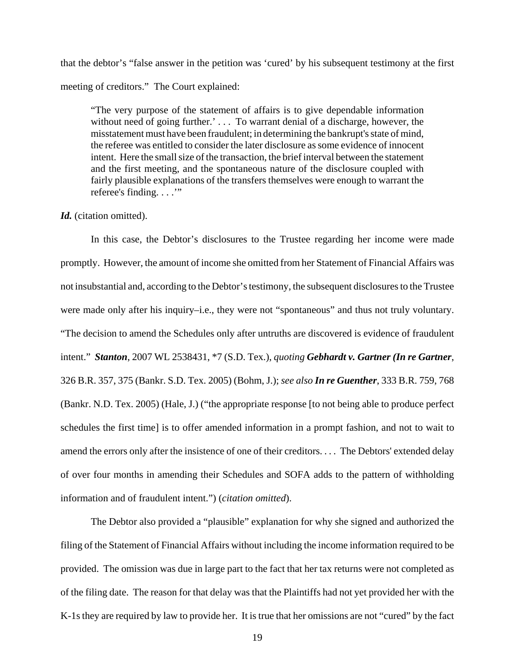that the debtor's "false answer in the petition was 'cured' by his subsequent testimony at the first meeting of creditors." The Court explained:

"The very purpose of the statement of affairs is to give dependable information without need of going further.'... To warrant denial of a discharge, however, the misstatement must have been fraudulent; in determining the bankrupt's state of mind, the referee was entitled to consider the later disclosure as some evidence of innocent intent. Here the small size of the transaction, the brief interval between the statement and the first meeting, and the spontaneous nature of the disclosure coupled with fairly plausible explanations of the transfers themselves were enough to warrant the referee's finding. . . .'"

#### *Id.* (citation omitted).

In this case, the Debtor's disclosures to the Trustee regarding her income were made promptly. However, the amount of income she omitted from her Statement of Financial Affairs was not insubstantial and, according to the Debtor's testimony, the subsequent disclosures to the Trustee were made only after his inquiry–i.e., they were not "spontaneous" and thus not truly voluntary. "The decision to amend the Schedules only after untruths are discovered is evidence of fraudulent intent." *Stanton*, 2007 WL 2538431, \*7 (S.D. Tex.), *quoting Gebhardt v. Gartner (In re Gartner*, 326 B.R. 357, 375 (Bankr. S.D. Tex. 2005) (Bohm, J.); *see also In re Guenther*, 333 B.R. 759, 768 (Bankr. N.D. Tex. 2005) (Hale, J.) ("the appropriate response [to not being able to produce perfect schedules the first time] is to offer amended information in a prompt fashion, and not to wait to amend the errors only after the insistence of one of their creditors. . . . The Debtors' extended delay of over four months in amending their Schedules and SOFA adds to the pattern of withholding information and of fraudulent intent.") (*citation omitted*).

The Debtor also provided a "plausible" explanation for why she signed and authorized the filing of the Statement of Financial Affairs without including the income information required to be provided. The omission was due in large part to the fact that her tax returns were not completed as of the filing date. The reason for that delay was that the Plaintiffs had not yet provided her with the K-1s they are required by law to provide her. It is true that her omissions are not "cured" by the fact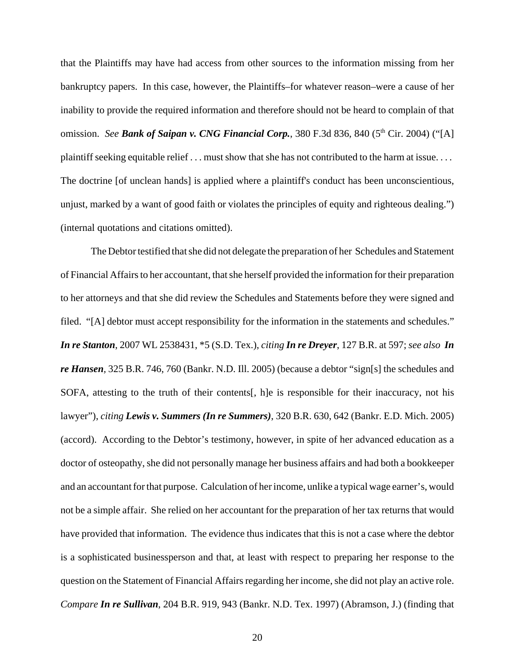that the Plaintiffs may have had access from other sources to the information missing from her bankruptcy papers. In this case, however, the Plaintiffs–for whatever reason–were a cause of her inability to provide the required information and therefore should not be heard to complain of that omission. *See Bank of Saipan v. CNG Financial Corp.*, 380 F.3d 836, 840 (5<sup>th</sup> Cir. 2004) ("[A] plaintiff seeking equitable relief . . . must show that she has not contributed to the harm at issue. . . . The doctrine [of unclean hands] is applied where a plaintiff's conduct has been unconscientious, unjust, marked by a want of good faith or violates the principles of equity and righteous dealing.") (internal quotations and citations omitted).

The Debtor testified that she did not delegate the preparation of her Schedules and Statement of Financial Affairs to her accountant, that she herself provided the information for their preparation to her attorneys and that she did review the Schedules and Statements before they were signed and filed. "[A] debtor must accept responsibility for the information in the statements and schedules." *In re Stanton*, 2007 WL 2538431, \*5 (S.D. Tex.), *citing In re Dreyer*, 127 B.R. at 597; *see also In re Hansen,* 325 B.R. 746, 760 (Bankr. N.D. Ill. 2005) (because a debtor "sign[s] the schedules and SOFA, attesting to the truth of their contents[, h]e is responsible for their inaccuracy, not his lawyer"), *citing Lewis v. Summers (In re Summers)*, 320 B.R. 630, 642 (Bankr. E.D. Mich. 2005) (accord). According to the Debtor's testimony, however, in spite of her advanced education as a doctor of osteopathy, she did not personally manage her business affairs and had both a bookkeeper and an accountant for that purpose. Calculation of her income, unlike a typical wage earner's, would not be a simple affair. She relied on her accountant for the preparation of her tax returns that would have provided that information. The evidence thus indicates that this is not a case where the debtor is a sophisticated businessperson and that, at least with respect to preparing her response to the question on the Statement of Financial Affairs regarding her income, she did not play an active role. *Compare In re Sullivan*, 204 B.R. 919, 943 (Bankr. N.D. Tex. 1997) (Abramson, J.) (finding that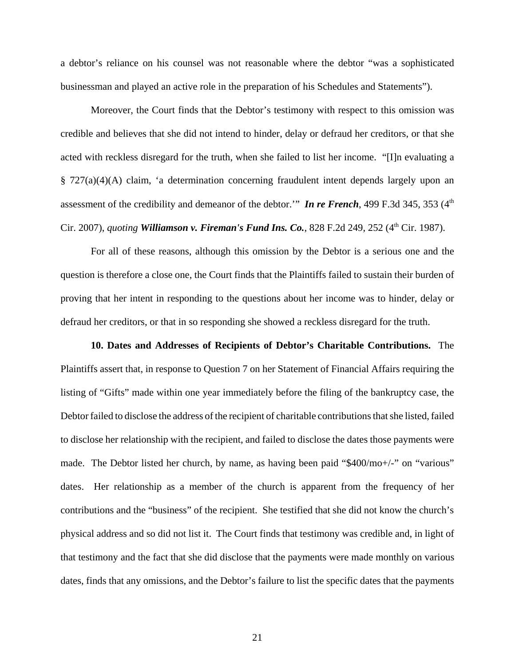a debtor's reliance on his counsel was not reasonable where the debtor "was a sophisticated businessman and played an active role in the preparation of his Schedules and Statements").

Moreover, the Court finds that the Debtor's testimony with respect to this omission was credible and believes that she did not intend to hinder, delay or defraud her creditors, or that she acted with reckless disregard for the truth, when she failed to list her income. "[I]n evaluating a § 727(a)(4)(A) claim, 'a determination concerning fraudulent intent depends largely upon an assessment of the credibility and demeanor of the debtor." *In re French*, 499 F.3d 345, 353 (4<sup>th</sup>) Cir. 2007), *quoting* **Williamson v. Fireman's Fund Ins. Co.**, 828 F.2d 249, 252 (4<sup>th</sup> Cir. 1987).

For all of these reasons, although this omission by the Debtor is a serious one and the question is therefore a close one, the Court finds that the Plaintiffs failed to sustain their burden of proving that her intent in responding to the questions about her income was to hinder, delay or defraud her creditors, or that in so responding she showed a reckless disregard for the truth.

**10. Dates and Addresses of Recipients of Debtor's Charitable Contributions.** The Plaintiffs assert that, in response to Question 7 on her Statement of Financial Affairs requiring the listing of "Gifts" made within one year immediately before the filing of the bankruptcy case, the Debtor failed to disclose the address of the recipient of charitable contributions that she listed, failed to disclose her relationship with the recipient, and failed to disclose the dates those payments were made. The Debtor listed her church, by name, as having been paid "\$400/mo+/-" on "various" dates. Her relationship as a member of the church is apparent from the frequency of her contributions and the "business" of the recipient. She testified that she did not know the church's physical address and so did not list it. The Court finds that testimony was credible and, in light of that testimony and the fact that she did disclose that the payments were made monthly on various dates, finds that any omissions, and the Debtor's failure to list the specific dates that the payments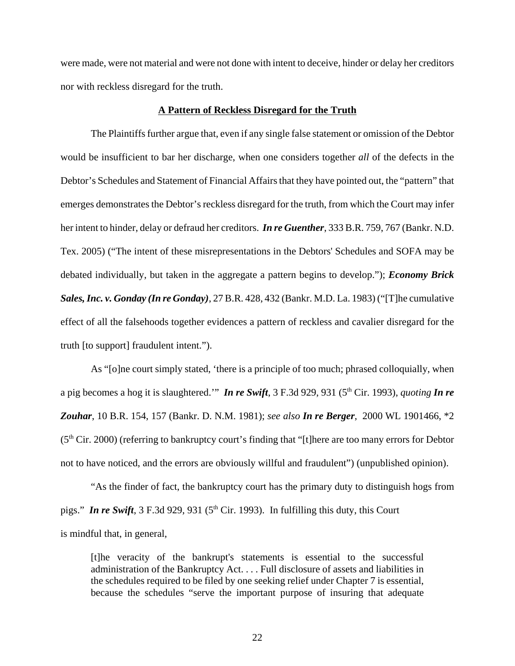were made, were not material and were not done with intent to deceive, hinder or delay her creditors nor with reckless disregard for the truth.

## **A Pattern of Reckless Disregard for the Truth**

The Plaintiffs further argue that, even if any single false statement or omission of the Debtor would be insufficient to bar her discharge, when one considers together *all* of the defects in the Debtor's Schedules and Statement of Financial Affairs that they have pointed out, the "pattern" that emerges demonstrates the Debtor's reckless disregard for the truth, from which the Court may infer her intent to hinder, delay or defraud her creditors. *In re Guenther*, 333 B.R. 759, 767 (Bankr. N.D. Tex. 2005) ("The intent of these misrepresentations in the Debtors' Schedules and SOFA may be debated individually, but taken in the aggregate a pattern begins to develop."); *Economy Brick Sales, Inc. v. Gonday (In re Gonday)*, 27 B.R. 428, 432 (Bankr. M.D. La. 1983) ("[T]he cumulative effect of all the falsehoods together evidences a pattern of reckless and cavalier disregard for the truth [to support] fraudulent intent.").

As "[o]ne court simply stated, 'there is a principle of too much; phrased colloquially, when a pig becomes a hog it is slaughtered.'" *In re Swift*, 3 F.3d 929, 931 (5th Cir. 1993), *quoting In re Zouhar*, 10 B.R. 154, 157 (Bankr. D. N.M. 1981); *see also In re Berger*, 2000 WL 1901466, \*2  $(5<sup>th</sup> Cir. 2000)$  (referring to bankruptcy court's finding that "[t]here are too many errors for Debtor not to have noticed, and the errors are obviously willful and fraudulent") (unpublished opinion).

"As the finder of fact, the bankruptcy court has the primary duty to distinguish hogs from pigs." **In re Swift**,  $3 F.3d 929$ ,  $931 (5<sup>th</sup> Cir. 1993)$ . In fulfilling this duty, this Court is mindful that, in general,

[t]he veracity of the bankrupt's statements is essential to the successful administration of the Bankruptcy Act. . . . Full disclosure of assets and liabilities in the schedules required to be filed by one seeking relief under Chapter 7 is essential, because the schedules "serve the important purpose of insuring that adequate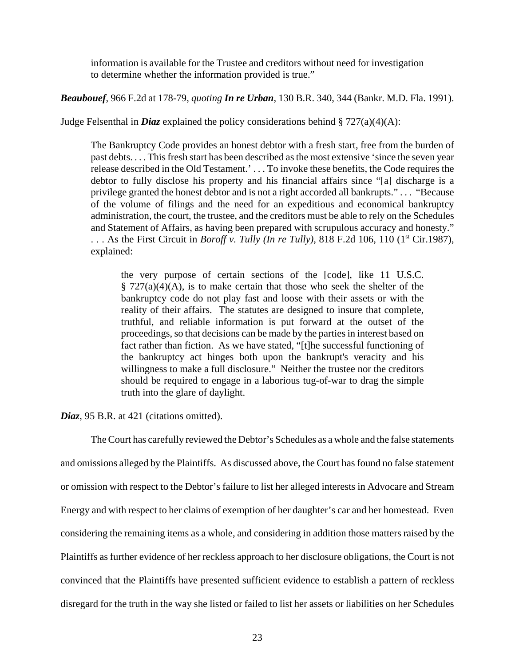information is available for the Trustee and creditors without need for investigation to determine whether the information provided is true."

*Beaubouef*, 966 F.2d at 178-79, *quoting In re Urban*, 130 B.R. 340, 344 (Bankr. M.D. Fla. 1991).

Judge Felsenthal in *Diaz* explained the policy considerations behind  $\S 727(a)(4)(A)$ :

The Bankruptcy Code provides an honest debtor with a fresh start, free from the burden of past debts. . . . This fresh start has been described as the most extensive 'since the seven year release described in the Old Testament.' . . . To invoke these benefits, the Code requires the debtor to fully disclose his property and his financial affairs since "[a] discharge is a privilege granted the honest debtor and is not a right accorded all bankrupts." . . . "Because of the volume of filings and the need for an expeditious and economical bankruptcy administration, the court, the trustee, and the creditors must be able to rely on the Schedules and Statement of Affairs, as having been prepared with scrupulous accuracy and honesty." ... As the First Circuit in *Boroff v. Tully (In re Tully)*, 818 F.2d 106, 110 (1<sup>st</sup> Cir.1987), explained:

the very purpose of certain sections of the [code], like 11 U.S.C.  $\S 727(a)(4)(A)$ , is to make certain that those who seek the shelter of the bankruptcy code do not play fast and loose with their assets or with the reality of their affairs. The statutes are designed to insure that complete, truthful, and reliable information is put forward at the outset of the proceedings, so that decisions can be made by the parties in interest based on fact rather than fiction. As we have stated, "[t]he successful functioning of the bankruptcy act hinges both upon the bankrupt's veracity and his willingness to make a full disclosure." Neither the trustee nor the creditors should be required to engage in a laborious tug-of-war to drag the simple truth into the glare of daylight.

*Diaz*, 95 B.R. at 421 (citations omitted).

The Court has carefully reviewed the Debtor's Schedules as a whole and the false statements and omissions alleged by the Plaintiffs. As discussed above, the Court has found no false statement or omission with respect to the Debtor's failure to list her alleged interests in Advocare and Stream Energy and with respect to her claims of exemption of her daughter's car and her homestead. Even considering the remaining items as a whole, and considering in addition those matters raised by the Plaintiffs as further evidence of her reckless approach to her disclosure obligations, the Court is not convinced that the Plaintiffs have presented sufficient evidence to establish a pattern of reckless disregard for the truth in the way she listed or failed to list her assets or liabilities on her Schedules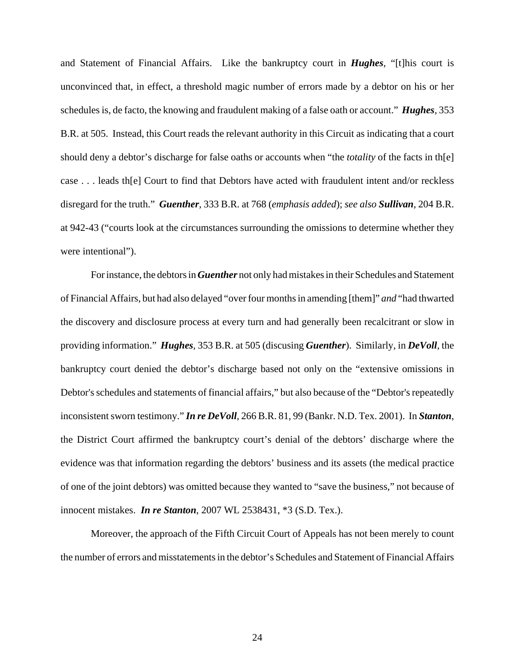and Statement of Financial Affairs. Like the bankruptcy court in *Hughes*, "[t]his court is unconvinced that, in effect, a threshold magic number of errors made by a debtor on his or her schedules is, de facto, the knowing and fraudulent making of a false oath or account." *Hughes,* 353 B.R. at 505. Instead, this Court reads the relevant authority in this Circuit as indicating that a court should deny a debtor's discharge for false oaths or accounts when "the *totality* of the facts in th[e] case . . . leads th[e] Court to find that Debtors have acted with fraudulent intent and/or reckless disregard for the truth." *Guenther*, 333 B.R. at 768 (*emphasis added*); *see also Sullivan*, 204 B.R. at 942-43 ("courts look at the circumstances surrounding the omissions to determine whether they were intentional").

For instance, the debtors in *Guenther* not only had mistakes in their Schedules and Statement of Financial Affairs, but had also delayed "over four months in amending [them]" *and* "had thwarted the discovery and disclosure process at every turn and had generally been recalcitrant or slow in providing information." *Hughes,* 353 B.R. at 505 (discusing *Guenther*). Similarly, in *DeVoll*, the bankruptcy court denied the debtor's discharge based not only on the "extensive omissions in Debtor's schedules and statements of financial affairs," but also because of the "Debtor's repeatedly inconsistent sworn testimony." *In re DeVoll*, 266 B.R. 81, 99 (Bankr. N.D. Tex. 2001). In *Stanton*, the District Court affirmed the bankruptcy court's denial of the debtors' discharge where the evidence was that information regarding the debtors' business and its assets (the medical practice of one of the joint debtors) was omitted because they wanted to "save the business," not because of innocent mistakes. *In re Stanton*, 2007 WL 2538431, \*3 (S.D. Tex.).

Moreover, the approach of the Fifth Circuit Court of Appeals has not been merely to count the number of errors and misstatements in the debtor's Schedules and Statement of Financial Affairs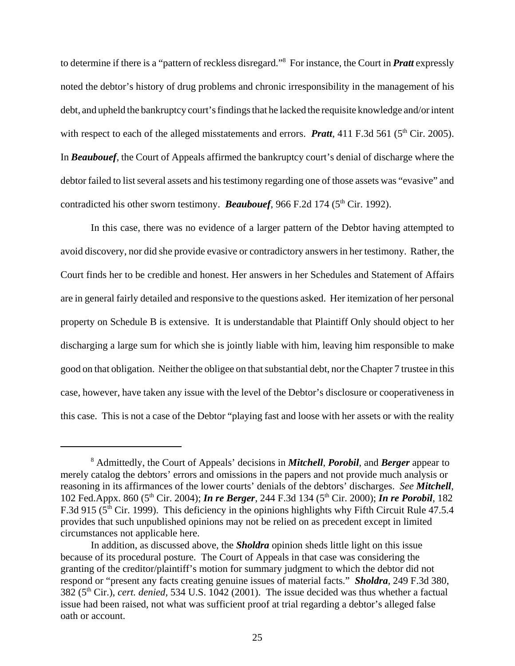to determine if there is a "pattern of reckless disregard."8 For instance, the Court in *Pratt* expressly noted the debtor's history of drug problems and chronic irresponsibility in the management of his debt, and upheld the bankruptcy court's findings that he lacked the requisite knowledge and/or intent with respect to each of the alleged misstatements and errors. **Pratt**, 411 F.3d 561 ( $5<sup>th</sup>$  Cir. 2005). In *Beaubouef*, the Court of Appeals affirmed the bankruptcy court's denial of discharge where the debtor failed to list several assets and his testimony regarding one of those assets was "evasive" and contradicted his other sworn testimony. **Beaubouef**, 966 F.2d 174 (5<sup>th</sup> Cir. 1992).

In this case, there was no evidence of a larger pattern of the Debtor having attempted to avoid discovery, nor did she provide evasive or contradictory answers in her testimony. Rather, the Court finds her to be credible and honest. Her answers in her Schedules and Statement of Affairs are in general fairly detailed and responsive to the questions asked. Her itemization of her personal property on Schedule B is extensive. It is understandable that Plaintiff Only should object to her discharging a large sum for which she is jointly liable with him, leaving him responsible to make good on that obligation. Neither the obligee on that substantial debt, nor the Chapter 7 trustee in this case, however, have taken any issue with the level of the Debtor's disclosure or cooperativeness in this case. This is not a case of the Debtor "playing fast and loose with her assets or with the reality

<sup>8</sup> Admittedly, the Court of Appeals' decisions in *Mitchell*, *Porobil*, and *Berger* appear to merely catalog the debtors' errors and omissions in the papers and not provide much analysis or reasoning in its affirmances of the lower courts' denials of the debtors' discharges. *See Mitchell*, 102 Fed.Appx. 860 (5th Cir. 2004); *In re Berger*, 244 F.3d 134 (5th Cir. 2000); *In re Porobil*, 182 F.3d 915 (5<sup>th</sup> Cir. 1999). This deficiency in the opinions highlights why Fifth Circuit Rule 47.5.4 provides that such unpublished opinions may not be relied on as precedent except in limited circumstances not applicable here.

In addition, as discussed above, the *Sholdra* opinion sheds little light on this issue because of its procedural posture. The Court of Appeals in that case was considering the granting of the creditor/plaintiff's motion for summary judgment to which the debtor did not respond or "present any facts creating genuine issues of material facts." *Sholdra,* 249 F.3d 380, 382 (5th Cir.), *cert. denied,* 534 U.S. 1042 (2001). The issue decided was thus whether a factual issue had been raised, not what was sufficient proof at trial regarding a debtor's alleged false oath or account.